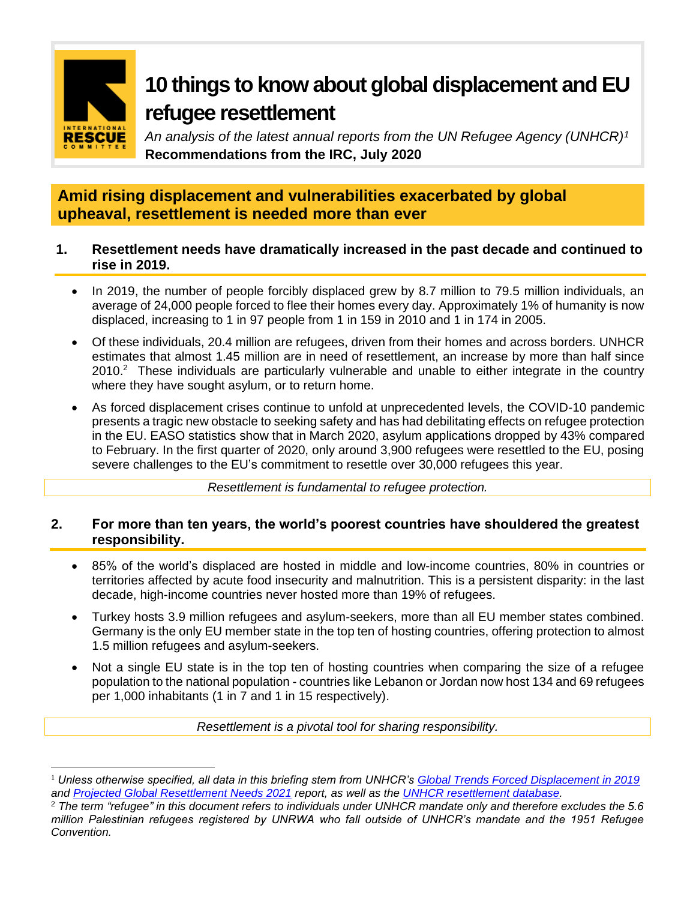

# **10 things to know about global displacement and EU refugee resettlement**

*An analysis of the latest annual reports from the UN Refugee Agency (UNHCR)<sup>1</sup>* **Recommendations from the IRC, July 2020**

# **Amid rising displacement and vulnerabilities exacerbated by global upheaval, resettlement is needed more than ever**

## **1. Resettlement needs have dramatically increased in the past decade and continued to rise in 2019.**

- In 2019, the number of people forcibly displaced grew by 8.7 million to 79.5 million individuals, an average of 24,000 people forced to flee their homes every day. Approximately 1% of humanity is now displaced, increasing to 1 in 97 people from 1 in 159 in 2010 and 1 in 174 in 2005.
- Of these individuals, 20.4 million are refugees, driven from their homes and across borders. UNHCR estimates that almost 1.45 million are in need of resettlement, an increase by more than half since  $2010<sup>2</sup>$  These individuals are particularly vulnerable and unable to either integrate in the country where they have sought asylum, or to return home.
- As forced displacement crises continue to unfold at unprecedented levels, the COVID-10 pandemic presents a tragic new obstacle to seeking safety and has had debilitating effects on refugee protection in the EU. EASO statistics show that in March 2020, asylum applications dropped by 43% compared to February. In the first quarter of 2020, only around 3,900 refugees were resettled to the EU, posing severe challenges to the EU's commitment to resettle over 30,000 refugees this year.

*Resettlement is fundamental to refugee protection.*

## **2. For more than ten years, the world's poorest countries have shouldered the greatest responsibility.**

- 85% of the world's displaced are hosted in middle and low-income countries, 80% in countries or territories affected by acute food insecurity and malnutrition. This is a persistent disparity: in the last decade, high-income countries never hosted more than 19% of refugees.
- Turkey hosts 3.9 million refugees and asylum-seekers, more than all EU member states combined. Germany is the only EU member state in the top ten of hosting countries, offering protection to almost 1.5 million refugees and asylum-seekers.
- Not a single EU state is in the top ten of hosting countries when comparing the size of a refugee population to the national population - countries like Lebanon or Jordan now host 134 and 69 refugees per 1,000 inhabitants (1 in 7 and 1 in 15 respectively).

*Resettlement is a pivotal tool for sharing responsibility.*

<sup>1</sup> *Unless otherwise specified, all data in this briefing stem from UNHCR's [Global Trends Forced Displacement in 2019](https://www.unhcr.org/5ee200e37.pdf) and [Projected Global Resettlement Needs 2021](https://www.unhcr.org/protection/resettlement/5ef34bfb7/projected-global-resettlement-needs-2021.html) report, as well as the [UNHCR resettlement database.](https://www.unhcr.org/resettlement-data.html)*

<sup>2</sup> *The term "refugee" in this document refers to individuals under UNHCR mandate only and therefore excludes the 5.6 million Palestinian refugees registered by UNRWA who fall outside of UNHCR's mandate and the 1951 Refugee Convention.*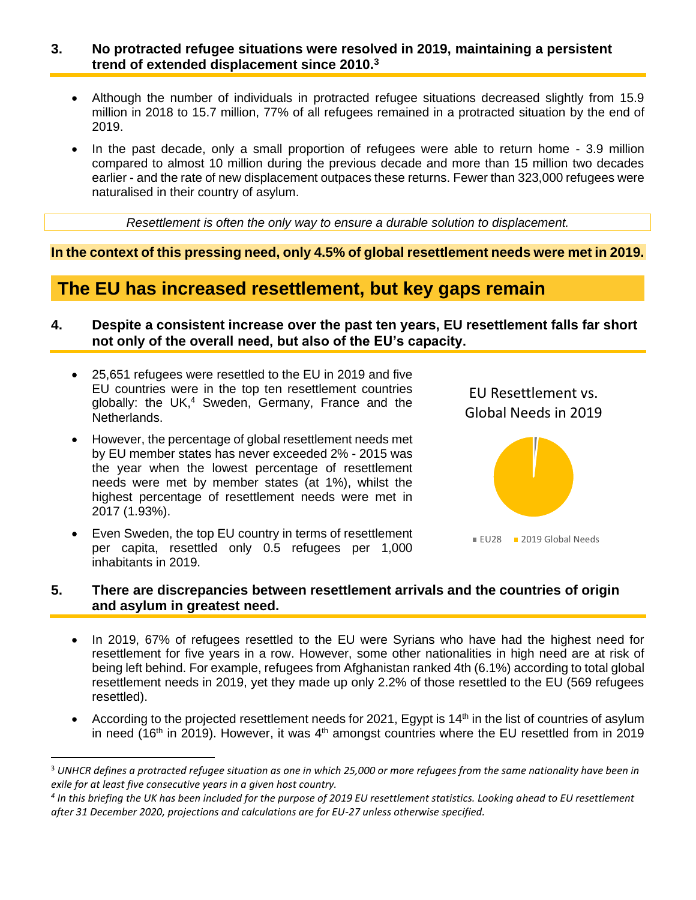#### **3. No protracted refugee situations were resolved in 2019, maintaining a persistent trend of extended displacement since 2010.<sup>3</sup>**

- Although the number of individuals in protracted refugee situations decreased slightly from 15.9 million in 2018 to 15.7 million, 77% of all refugees remained in a protracted situation by the end of 2019.
- In the past decade, only a small proportion of refugees were able to return home 3.9 million compared to almost 10 million during the previous decade and more than 15 million two decades earlier - and the rate of new displacement outpaces these returns. Fewer than 323,000 refugees were naturalised in their country of asylum.

*Resettlement is often the only way to ensure a durable solution to displacement.*

**In the context of this pressing need, only 4.5% of global resettlement needs were met in 2019.** 

# **The EU has increased resettlement, but key gaps remain**

- **4. Despite a consistent increase over the past ten years, EU resettlement falls far short not only of the overall need, but also of the EU's capacity.**
	- 25,651 refugees were resettled to the EU in 2019 and five EU countries were in the top ten resettlement countries globally: the UK, $4$  Sweden, Germany, France and the Netherlands.
	- However, the percentage of global resettlement needs met by EU member states has never exceeded 2% - 2015 was the year when the lowest percentage of resettlement needs were met by member states (at 1%), whilst the highest percentage of resettlement needs were met in 2017 (1.93%).
	- Even Sweden, the top EU country in terms of resettlement per capita, resettled only 0.5 refugees per 1,000 inhabitants in 2019.



#### **5. There are discrepancies between resettlement arrivals and the countries of origin and asylum in greatest need.**

- In 2019, 67% of refugees resettled to the EU were Syrians who have had the highest need for resettlement for five years in a row. However, some other nationalities in high need are at risk of being left behind. For example, refugees from Afghanistan ranked 4th (6.1%) according to total global resettlement needs in 2019, yet they made up only 2.2% of those resettled to the EU (569 refugees resettled).
- According to the projected resettlement needs for 2021, Egypt is 14<sup>th</sup> in the list of countries of asylum in need ( $16<sup>th</sup>$  in 2019). However, it was  $4<sup>th</sup>$  amongst countries where the EU resettled from in 2019

<sup>3</sup> *UNHCR defines a protracted refugee situation as one in which 25,000 or more refugees from the same nationality have been in exile for at least five consecutive years in a given host country.*

<sup>&</sup>lt;sup>4</sup> In this briefing the UK has been included for the purpose of 2019 EU resettlement statistics. Looking ahead to EU resettlement *after 31 December 2020, projections and calculations are for EU-27 unless otherwise specified.*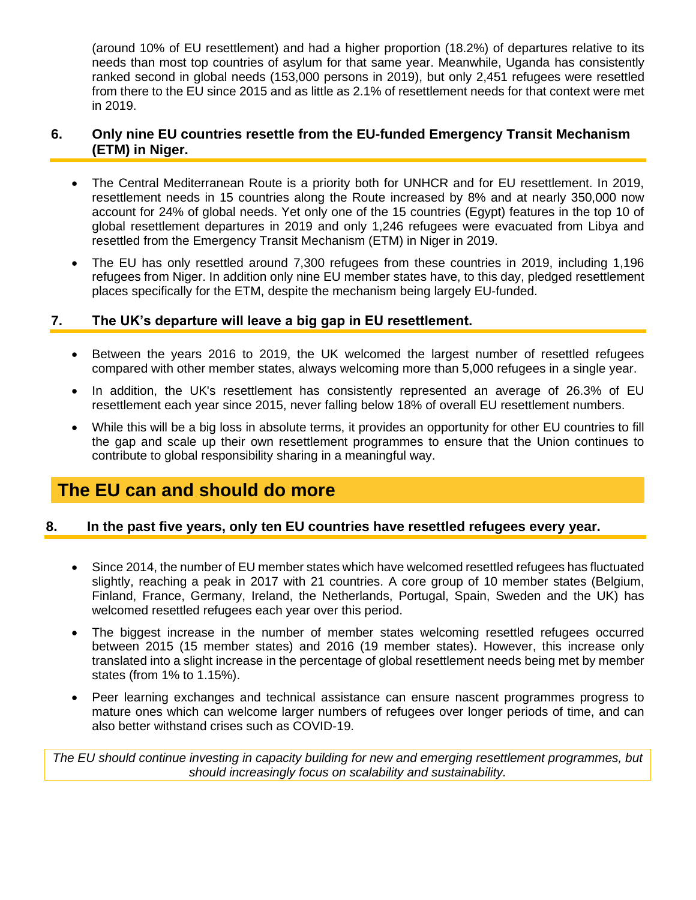(around 10% of EU resettlement) and had a higher proportion (18.2%) of departures relative to its needs than most top countries of asylum for that same year. Meanwhile, Uganda has consistently ranked second in global needs (153,000 persons in 2019), but only 2,451 refugees were resettled from there to the EU since 2015 and as little as 2.1% of resettlement needs for that context were met in 2019.

## **6. Only nine EU countries resettle from the EU-funded Emergency Transit Mechanism (ETM) in Niger.**

- The Central Mediterranean Route is a priority both for UNHCR and for EU resettlement. In 2019, resettlement needs in 15 countries along the Route increased by 8% and at nearly 350,000 now account for 24% of global needs. Yet only one of the 15 countries (Egypt) features in the top 10 of global resettlement departures in 2019 and only 1,246 refugees were evacuated from Libya and resettled from the Emergency Transit Mechanism (ETM) in Niger in 2019.
- The EU has only resettled around 7,300 refugees from these countries in 2019, including 1,196 refugees from Niger. In addition only nine EU member states have, to this day, pledged resettlement places specifically for the ETM, despite the mechanism being largely EU-funded.

## **7. The UK's departure will leave a big gap in EU resettlement.**

- Between the years 2016 to 2019, the UK welcomed the largest number of resettled refugees compared with other member states, always welcoming more than 5,000 refugees in a single year.
- In addition, the UK's resettlement has consistently represented an average of 26.3% of EU resettlement each year since 2015, never falling below 18% of overall EU resettlement numbers.
- While this will be a big loss in absolute terms, it provides an opportunity for other EU countries to fill the gap and scale up their own resettlement programmes to ensure that the Union continues to contribute to global responsibility sharing in a meaningful way.

# **The EU can and should do more**

## **8. In the past five years, only ten EU countries have resettled refugees every year.**

- Since 2014, the number of EU member states which have welcomed resettled refugees has fluctuated slightly, reaching a peak in 2017 with 21 countries. A core group of 10 member states (Belgium, Finland, France, Germany, Ireland, the Netherlands, Portugal, Spain, Sweden and the UK) has welcomed resettled refugees each year over this period.
- The biggest increase in the number of member states welcoming resettled refugees occurred between 2015 (15 member states) and 2016 (19 member states). However, this increase only translated into a slight increase in the percentage of global resettlement needs being met by member states (from 1% to 1.15%).
- Peer learning exchanges and technical assistance can ensure nascent programmes progress to mature ones which can welcome larger numbers of refugees over longer periods of time, and can also better withstand crises such as COVID-19.

*The EU should continue investing in capacity building for new and emerging resettlement programmes, but should increasingly focus on scalability and sustainability.*